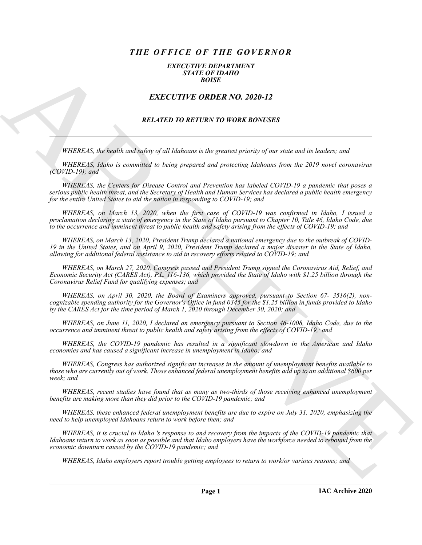# *THE OFFICE OF THE GOVERNOR*

### *EXECUTIVE DEPARTMENT STATE OF IDAHO BOISE*

## *EXECUTIVE ORDER NO. 2020-12*

## *RELATED TO RETURN TO WORK BONUSES*

*WHEREAS, the health and safety of all Idahoans is the greatest priority of our state and its leaders; and*

*WHEREAS, Idaho is committed to being prepared and protecting Idahoans from the 2019 novel coronavirus (COVID-19); and*

*WHEREAS, the Centers for Disease Control and Prevention has labeled COVID-19 a pandemic that poses a serious public health threat, and the Secretary of Health and Human Services has declared a public health emergency for the entire United States to aid the nation in responding to COVID-19; and*

*WHEREAS, on March 13, 2020, when the first case of COVID-19 was confirmed in Idaho, I issued a proclamation declaring a state of emergency in the State of Idaho pursuant to Chapter 10, Title 46, Idaho Code, due to the occurrence and imminent threat to public health and safety arising from the effects of COVID-19; and*

*WHEREAS, on March 13, 2020, President Trump declared a national emergency due to the outbreak of COVID-19 in the United States, and on April 9, 2020, President Trump declared a major disaster in the State of Idaho, allowing for additional federal assistance to aid in recovery efforts related to COVID-19; and*

*WHEREAS, on March 27, 2020, Congress passed and President Trump signed the Coronavirus Aid, Relief, and Economic Security Act (CARES Act), P.L. 116-136, which provided the State of Idaho with \$1.25 billion through the Coronavirus Relief Fund for qualifying expenses; and*

**EXACTLY THE ORDER NO. 2020-12**<br> **EXACTLY THE ORDER NO. 2020-12**<br> **EXACTLY THE ORDER NO. 2020-12**<br> **EXACTLY THE ORDER NO. 2020-12**<br> **EXACTLY THE ORDER NO. 2020-12**<br> **ARCHIVES** TO NETTLEN TO NOTE BOX BOX 1000-12<br> **ARCHIVES** *WHEREAS, on April 30, 2020, the Board of Examiners approved, pursuant to Section 67- 3516(2), noncognizable spending authority for the Governor's Office in fund 0345 for the \$1.25 billion in.funds provided to Idaho by the CARES Act for the time period of March 1, 2020 through December 30, 2020; and*

*WHEREAS, on June 11, 2020, I declared an emergency pursuant to Section 46-1008, Idaho Code, due to the occurrence and imminent threat to public health and safety arising from the effects of COVID-19,· and*

*WHEREAS, the COVID-19 pandemic has resulted in a significant slowdown in the American and Idaho economies and has caused a significant increase in unemployment in Idaho; and*

*WHEREAS, Congress has authorized significant increases in the amount of unemployment benefits available to those who are currently out of work. Those enhanced federal unemployment benefits add up to an additional \$600 per week; and*

*WHEREAS, recent studies have found that as many as two-thirds of those receiving enhanced unemployment benefits are making more than they did prior to the COVID-19 pandemic; and*

*WHEREAS, these enhanced federal unemployment benefits are due to expire on July 31, 2020, emphasizing the need to help unemployed Idahoans return to work before then; and*

*WHEREAS, it is crucial to Idaho 's response to and recovery from the impacts of the COVID-19 pandemic that Idahoans return to work as soon as possible and that Idaho employers have the workforce needed to rebound from the economic downturn caused by the COVID-19 pandemic; and*

*WHEREAS, Idaho employers report trouble getting employees to return to work/or various reasons; and*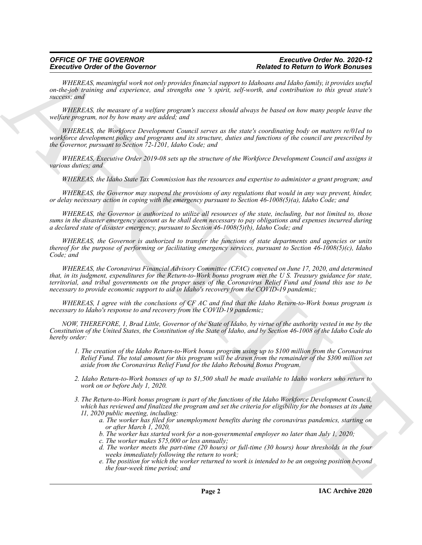*WHEREAS, meaningful work not only provides financial support to Idahoans and Idaho family, it provides useful on-the-job training and experience, and strengths one 's spirit, self-worth, and contribution to this great state's success; and*

*WHEREAS, the measure of a welfare program's success should always be based on how many people leave the welfare program, not by how many are added; and*

*WHEREAS, the Workforce Development Council serves as the state's coordinating body on matters re/01ed to workforce development policy and programs and its structure, duties and functions of the council are prescribed by the Governor, pursuant to Section 72-1201, Idaho Code; and*

*WHEREAS, Executive Order 2019-08 sets up the structure of the Workforce Development Council and assigns it various duties; and*

*WHEREAS, the Idaho State Tax Commission has the resources and expertise to administer a grant program; and*

*WHEREAS, the Governor may suspend the provisions of any regulations that would in any way prevent, hinder, or delay necessary action in coping with the emergency pursuant to Section 46-1008(5)(a), Idaho Code; and*

*WHEREAS, the Governor is authorized to utilize all resources of the state, including, but not limited to, those sums in the disaster emergency account as he shall deem necessary to pay obligations and expenses incurred during a declared state of disaster emergency, pursuant to Section 46-1008(5)(b), Idaho Code; and*

*WHEREAS, the Governor is authorized to transfer the functions of state departments and agencies or units thereof for the purpose of performing or facilitating emergency services, pursuant to Section 46-1008(5)(c), Idaho Code; and*

**Excessive Critics of the Governor of the properties formed Research Research Research Critics (Eq. 2)** The *China Critics (Eq. 2)* The *China Critics (Eq. 2)* The *China Critics (Eq. 2)* The *China Critics (Eq. 2)* The *WHEREAS, the Coronavirus Financial Advisory Committee (CFAC) convened on June 17, 2020, and determined that, in its judgment, expenditures for the Return-to-Work bonus program met the U S. Treasury guidance for state, territorial, and tribal governments on the proper uses of the Coronavirus Relief Fund and found this use to be necessary to provide economic support to aid in Idaho's recovery from the COVID-19 pandemic;*

*WHEREAS, I agree with the conclusions of CF AC and find that the Idaho Return-to-Work bonus program is necessary to Idaho's response to and recovery from the COVID-19 pandemic;*

*NOW, THEREFORE, 1, Brad Little, Governor of the State of Idaho, by virtue of the authority vested in me by the Constitution of the United States, the Constitution of the State of Idaho, and by Section 46-1008 of the Idaho Code do hereby order:*

- *1. The creation of the Idaho Return-to-Work bonus program using up to \$100 million from the Coronavirus Relief Fund. The total amount for this program will be drawn.from the remainder of the \$300 million set aside from the Coronavirus Relief Fund for the Idaho Rebound Bonus Program.*
- *2. Idaho Return-to-Work bonuses of up to \$1,500 shall be made available to Idaho workers who return to work on or before July 1, 2020.*
- *3. The Return-to-Work bonus program is part of the functions of the Idaho Workforce Development Council, which has reviewed and finalized the program and set the criteria for eligibility for the bonuses at its June 11, 2020 public meeting, including:*
	- *a. The worker has filed for unemployment benefits during the coronavirus pandemics, starting on or after March 1, 2020,*
	- *b. The worker has started work for a non-governmental employer no later than July 1, 2020;*
	- *c. The worker makes \$75,000 or less annually;*
	- *d. The worker meets the part-time (20 hours) or full-time (30 hours) hour thresholds in the four weeks immediately following the return to work;*
	- *e. The position for which the worker returned to work is intended to be an ongoing position beyond the four-week time period; and*